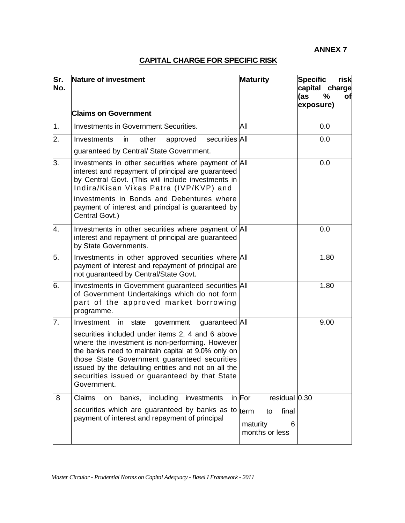## **CAPITAL CHARGE FOR SPECIFIC RISK**

| Sr.<br>No. | Nature of investment                                                                                                                                                                                                                                                                                                                                                                           | <b>Maturity</b>                                        | <b>Specific</b><br>risk<br>capital charge<br>$\frac{9}{6}$<br>(as<br>of<br>exposure) |
|------------|------------------------------------------------------------------------------------------------------------------------------------------------------------------------------------------------------------------------------------------------------------------------------------------------------------------------------------------------------------------------------------------------|--------------------------------------------------------|--------------------------------------------------------------------------------------|
|            | <b>Claims on Government</b>                                                                                                                                                                                                                                                                                                                                                                    |                                                        |                                                                                      |
| 1.         | Investments in Government Securities.                                                                                                                                                                                                                                                                                                                                                          | All                                                    | 0.0                                                                                  |
| 2.         | securities All<br>other<br>Investments<br>'n<br>approved<br>guaranteed by Central/ State Government.                                                                                                                                                                                                                                                                                           |                                                        | 0.0                                                                                  |
| 3.         | Investments in other securities where payment of All<br>interest and repayment of principal are guaranteed<br>by Central Govt. (This will include investments in<br>Indira/Kisan Vikas Patra (IVP/KVP) and                                                                                                                                                                                     |                                                        | 0.0                                                                                  |
|            | investments in Bonds and Debentures where<br>payment of interest and principal is guaranteed by<br>Central Govt.)                                                                                                                                                                                                                                                                              |                                                        |                                                                                      |
| 4.         | Investments in other securities where payment of All<br>interest and repayment of principal are guaranteed<br>by State Governments.                                                                                                                                                                                                                                                            |                                                        | 0.0                                                                                  |
| 5.         | Investments in other approved securities where All<br>payment of interest and repayment of principal are<br>not guaranteed by Central/State Govt.                                                                                                                                                                                                                                              |                                                        | 1.80                                                                                 |
| 6.         | Investments in Government guaranteed securities All<br>of Government Undertakings which do not form<br>part of the approved market borrowing<br>programme.                                                                                                                                                                                                                                     |                                                        | 1.80                                                                                 |
| 7.         | guaranteed All<br>Investment<br>in<br>state<br>government<br>securities included under items 2, 4 and 6 above<br>where the investment is non-performing. However<br>the banks need to maintain capital at 9.0% only on<br>those State Government guaranteed securities<br>issued by the defaulting entities and not on all the<br>securities issued or guaranteed by that State<br>Government. |                                                        | 9.00                                                                                 |
| 8          | Claims<br>banks, including<br>investments<br>on                                                                                                                                                                                                                                                                                                                                                | in For<br>residual 0.30                                |                                                                                      |
|            | securities which are guaranteed by banks as to<br>payment of interest and repayment of principal                                                                                                                                                                                                                                                                                               | term<br>final<br>to<br>maturity<br>6<br>months or less |                                                                                      |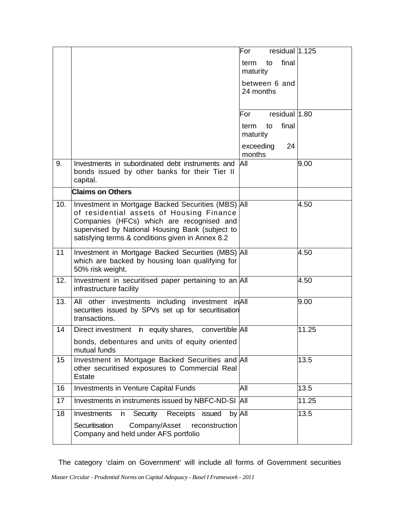|     |                                                                                                                                                                                                                                                    | residual $ 1.125$<br>For        |       |
|-----|----------------------------------------------------------------------------------------------------------------------------------------------------------------------------------------------------------------------------------------------------|---------------------------------|-------|
|     |                                                                                                                                                                                                                                                    | final<br>to<br>term<br>maturity |       |
|     |                                                                                                                                                                                                                                                    | between 6 and<br>24 months      |       |
|     |                                                                                                                                                                                                                                                    | residual 1.80<br>For            |       |
|     |                                                                                                                                                                                                                                                    | final<br>term<br>to<br>maturity |       |
|     |                                                                                                                                                                                                                                                    | exceeding<br>24<br>months       |       |
| 9.  | Investments in subordinated debt instruments and<br>bonds issued by other banks for their Tier II<br>capital.                                                                                                                                      | All                             | 9.00  |
|     | <b>Claims on Others</b>                                                                                                                                                                                                                            |                                 |       |
| 10. | Investment in Mortgage Backed Securities (MBS) All<br>of residential assets of Housing Finance<br>Companies (HFCs) which are recognised and<br>supervised by National Housing Bank (subject to<br>satisfying terms & conditions given in Annex 8.2 |                                 | 4.50  |
| 11  | Investment in Mortgage Backed Securities (MBS) All<br>which are backed by housing loan qualifying for<br>50% risk weight.                                                                                                                          |                                 | 4.50  |
| 12. | Investment in securitised paper pertaining to an All<br>infrastructure facility                                                                                                                                                                    |                                 | 4.50  |
| 13. | All other investments including investment in All<br>securities issued by SPVs set up for securitisation<br>transactions.                                                                                                                          |                                 | 9.00  |
| 14  | Direct investment in equity shares, convertible All                                                                                                                                                                                                |                                 | 11.25 |
|     | bonds, debentures and units of equity oriented<br>mutual funds                                                                                                                                                                                     |                                 |       |
| 15  | Investment in Mortgage Backed Securities and All<br>other securitised exposures to Commercial Real<br><b>Estate</b>                                                                                                                                |                                 | 13.5  |
| 16  | <b>Investments in Venture Capital Funds</b>                                                                                                                                                                                                        | All                             | 13.5  |
| 17  | Investments in instruments issued by NBFC-ND-SI                                                                                                                                                                                                    | All                             | 11.25 |
| 18  | Security<br>by All<br>Investments<br>Receipts<br>'n.<br>issued<br>Securitisation<br>Company/Asset<br>reconstruction<br>Company and held under AFS portfolio                                                                                        |                                 | 13.5  |

The category 'claim on Government' will include all forms of Government securities